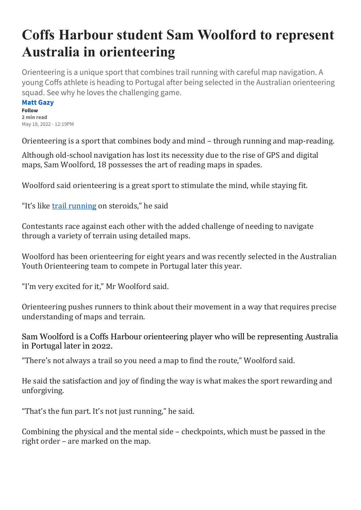## **Coffs Harbour student Sam Woolford to represent Australia in orienteering**

Orienteering is a unique sport that combines trail running with careful map navigation. A young Coffs athlete is heading to Portugal after being selected in the Australian orienteering squad. See why he loves the challenging game.

**[Matt Gazy](https://www.dailytelegraph.com.au/journalists/matt-gazy) Follow 2 min read** May 18, 2022 - 12:19PM

Orienteering is a sport that combines body and mind – through running and map-reading.

Although old-school navigation has lost its necessity due to the rise of GPS and digital maps, Sam Woolford, 18 possesses the art of reading maps in spades.

Woolford said orienteering is a great sport to stimulate the mind, while staying fit.

"It's like [trail running](https://www.dailytelegraph.com.au/news/nsw/coffs-harbour/the-best-running-trails-you-didnt-know-about-in-coffs-harbour/news-story/fde5703f6be76eafdab6b00f63663c62) on steroids," he said

Contestants race against each other with the added challenge of needing to navigate through a variety of terrain using detailed maps.

Woolford has been orienteering for eight years and was recently selected in the Australian Youth Orienteering team to compete in Portugal later this year.

"I'm very excited for it," Mr Woolford said.

Orienteering pushes runners to think about their movement in a way that requires precise understanding of maps and terrain.

Sam Woolford is a Coffs Harbour orienteering player who will be representing Australia in Portugal later in 2022.

"There's not always a trail so you need a map to find the route," Woolford said.

He said the satisfaction and joy of finding the way is what makes the sport rewarding and unforgiving.

"That's the fun part. It's not just running," he said.

Combining the physical and the mental side – checkpoints, which must be passed in the right order – are marked on the map.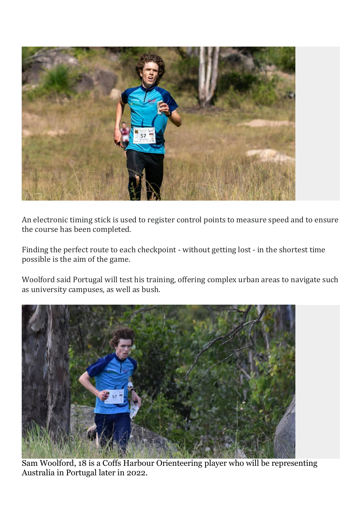

An electronic timing stick is used to register control points to measure speed and to ensure the course has been completed.

Finding the perfect route to each checkpoint - without getting lost - in the shortest time possible is the aim of the game.

Woolford said Portugal will test his training, offering complex urban areas to navigate such as university campuses, as well as bush.



Sam Woolford, 18 is a Coffs Harbour Orienteering player who will be representing Australia in Portugal later in 2022.